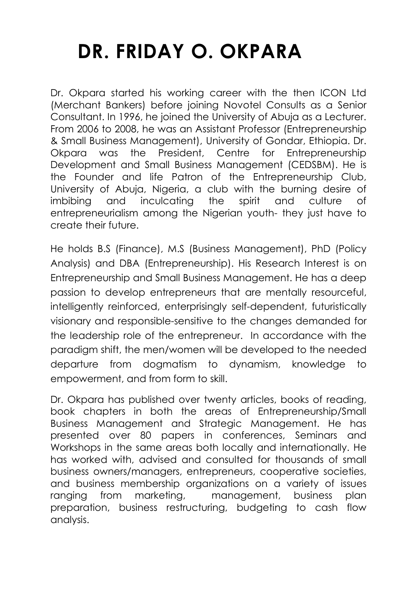## **DR. FRIDAY O. OKPARA**

Dr. Okpara started his working career with the then ICON Ltd (Merchant Bankers) before joining Novotel Consults as a Senior Consultant. In 1996, he joined the University of Abuja as a Lecturer. From 2006 to 2008, he was an Assistant Professor (Entrepreneurship & Small Business Management), University of Gondar, Ethiopia. Dr. Okpara was the President, Centre for Entrepreneurship Development and Small Business Management (CEDSBM). He is the Founder and life Patron of the Entrepreneurship Club, University of Abuja, Nigeria, a club with the burning desire of imbibing and inculcating the spirit and culture of entrepreneurialism among the Nigerian youth- they just have to create their future.

He holds B.S (Finance), M.S (Business Management), PhD (Policy Analysis) and DBA (Entrepreneurship). His Research Interest is on Entrepreneurship and Small Business Management. He has a deep passion to develop entrepreneurs that are mentally resourceful, intelligently reinforced, enterprisingly self-dependent, futuristically visionary and responsible-sensitive to the changes demanded for the leadership role of the entrepreneur. In accordance with the paradigm shift, the men/women will be developed to the needed departure from dogmatism to dynamism, knowledge to empowerment, and from form to skill.

Dr. Okpara has published over twenty articles, books of reading, book chapters in both the areas of Entrepreneurship/Small Business Management and Strategic Management. He has presented over 80 papers in conferences, Seminars and Workshops in the same areas both locally and internationally. He has worked with, advised and consulted for thousands of small business owners/managers, entrepreneurs, cooperative societies, and business membership organizations on a variety of issues ranging from marketing, management, business plan preparation, business restructuring, budgeting to cash flow analysis.